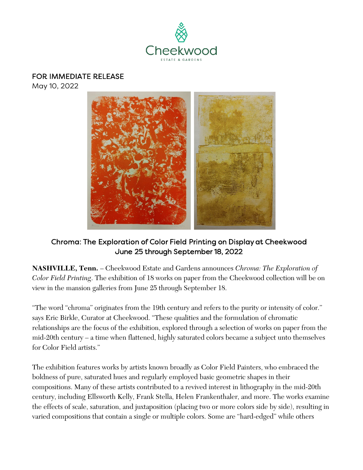

#### FOR IMMEDIATE RELEASE

May 10, 2022



# Chroma: The Exploration of Color Field Printing on Display at Cheekwood June 25 through September 18, 2022

**NASHVILLE, Tenn.** – Cheekwood Estate and Gardens announces *Chroma: The Exploration of Color Field Printing*. The exhibition of 18 works on paper from the Cheekwood collection will be on view in the mansion galleries from June 25 through September 18.

"The word "chroma" originates from the 19th century and refers to the purity or intensity of color." says Eric Birkle, Curator at Cheekwood. "These qualities and the formulation of chromatic relationships are the focus of the exhibition, explored through a selection of works on paper from the mid-20th century – a time when flattened, highly saturated colors became a subject unto themselves for Color Field artists."

The exhibition features works by artists known broadly as Color Field Painters, who embraced the boldness of pure, saturated hues and regularly employed basic geometric shapes in their compositions. Many of these artists contributed to a revived interest in lithography in the mid-20th century, including Ellsworth Kelly, Frank Stella, Helen Frankenthaler, and more. The works examine the effects of scale, saturation, and juxtaposition (placing two or more colors side by side), resulting in varied compositions that contain a single or multiple colors. Some are "hard-edged" while others